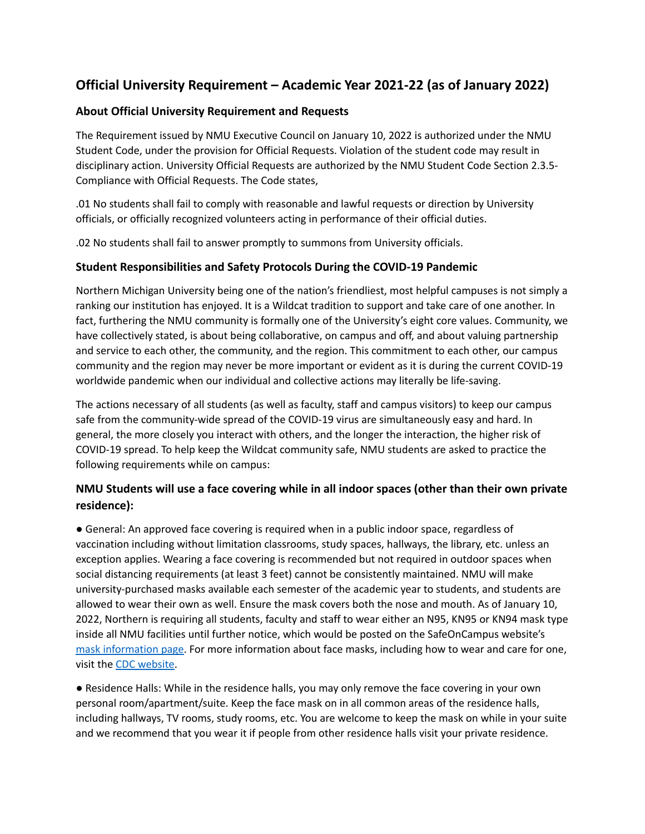# **Official University Requirement – Academic Year 2021-22 (as of January 2022)**

# **About Official University Requirement and Requests**

The Requirement issued by NMU Executive Council on January 10, 2022 is authorized under the NMU Student Code, under the provision for Official Requests. Violation of the student code may result in disciplinary action. University Official Requests are authorized by the NMU Student Code Section 2.3.5- Compliance with Official Requests. The Code states,

.01 No students shall fail to comply with reasonable and lawful requests or direction by University officials, or officially recognized volunteers acting in performance of their official duties.

.02 No students shall fail to answer promptly to summons from University officials.

# **Student Responsibilities and Safety Protocols During the COVID-19 Pandemic**

Northern Michigan University being one of the nation's friendliest, most helpful campuses is not simply a ranking our institution has enjoyed. It is a Wildcat tradition to support and take care of one another. In fact, furthering the NMU community is formally one of the University's eight core values. Community, we have collectively stated, is about being collaborative, on campus and off, and about valuing partnership and service to each other, the community, and the region. This commitment to each other, our campus community and the region may never be more important or evident as it is during the current COVID-19 worldwide pandemic when our individual and collective actions may literally be life-saving.

The actions necessary of all students (as well as faculty, staff and campus visitors) to keep our campus safe from the community-wide spread of the COVID-19 virus are simultaneously easy and hard. In general, the more closely you interact with others, and the longer the interaction, the higher risk of COVID-19 spread. To help keep the Wildcat community safe, NMU students are asked to practice the following requirements while on campus:

# **NMU Students will use a face covering while in all indoor spaces (other than their own private residence):**

● General: An approved face covering is required when in a public indoor space, regardless of vaccination including without limitation classrooms, study spaces, hallways, the library, etc. unless an exception applies. Wearing a face covering is recommended but not required in outdoor spaces when social distancing requirements (at least 3 feet) cannot be consistently maintained. NMU will make university-purchased masks available each semester of the academic year to students, and students are allowed to wear their own as well. Ensure the mask covers both the nose and mouth. As of January 10, 2022, Northern is requiring all students, faculty and staff to wear either an N95, KN95 or KN94 mask type inside all NMU facilities until further notice, which would be posted on the SafeOnCampus website's mask [information](https://nmu.edu/safe-on-campus/masks) page. For more information about face masks, including how to wear and care for one, visit the CDC [website.](https://www.cdc.gov)

● Residence Halls: While in the residence halls, you may only remove the face covering in your own personal room/apartment/suite. Keep the face mask on in all common areas of the residence halls, including hallways, TV rooms, study rooms, etc. You are welcome to keep the mask on while in your suite and we recommend that you wear it if people from other residence halls visit your private residence.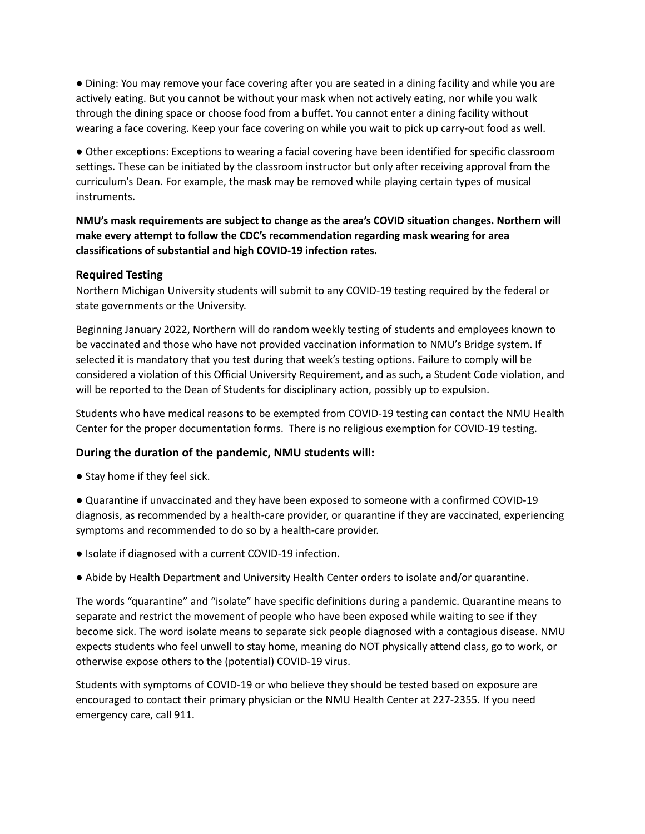● Dining: You may remove your face covering after you are seated in a dining facility and while you are actively eating. But you cannot be without your mask when not actively eating, nor while you walk through the dining space or choose food from a buffet. You cannot enter a dining facility without wearing a face covering. Keep your face covering on while you wait to pick up carry-out food as well.

● Other exceptions: Exceptions to wearing a facial covering have been identified for specific classroom settings. These can be initiated by the classroom instructor but only after receiving approval from the curriculum's Dean. For example, the mask may be removed while playing certain types of musical instruments.

**NMU's mask requirements are subject to change as the area's COVID situation changes. Northern will make every attempt to follow the CDC's recommendation regarding mask wearing for area classifications of substantial and high COVID-19 infection rates.**

#### **Required Testing**

Northern Michigan University students will submit to any COVID-19 testing required by the federal or state governments or the University.

Beginning January 2022, Northern will do random weekly testing of students and employees known to be vaccinated and those who have not provided vaccination information to NMU's Bridge system. If selected it is mandatory that you test during that week's testing options. Failure to comply will be considered a violation of this Official University Requirement, and as such, a Student Code violation, and will be reported to the Dean of Students for disciplinary action, possibly up to expulsion.

Students who have medical reasons to be exempted from COVID-19 testing can contact the NMU Health Center for the proper documentation forms. There is no religious exemption for COVID-19 testing.

### **During the duration of the pandemic, NMU students will:**

- **●** Stay home if they feel sick.
- Quarantine if unvaccinated and they have been exposed to someone with a confirmed COVID-19 diagnosis, as recommended by a health-care provider, or quarantine if they are vaccinated, experiencing symptoms and recommended to do so by a health-care provider.
- Isolate if diagnosed with a current COVID-19 infection.
- Abide by Health Department and University Health Center orders to isolate and/or quarantine.

The words "quarantine" and "isolate" have specific definitions during a pandemic. Quarantine means to separate and restrict the movement of people who have been exposed while waiting to see if they become sick. The word isolate means to separate sick people diagnosed with a contagious disease. NMU expects students who feel unwell to stay home, meaning do NOT physically attend class, go to work, or otherwise expose others to the (potential) COVID-19 virus.

Students with symptoms of COVID-19 or who believe they should be tested based on exposure are encouraged to contact their primary physician or the NMU Health Center at 227-2355. If you need emergency care, call 911.